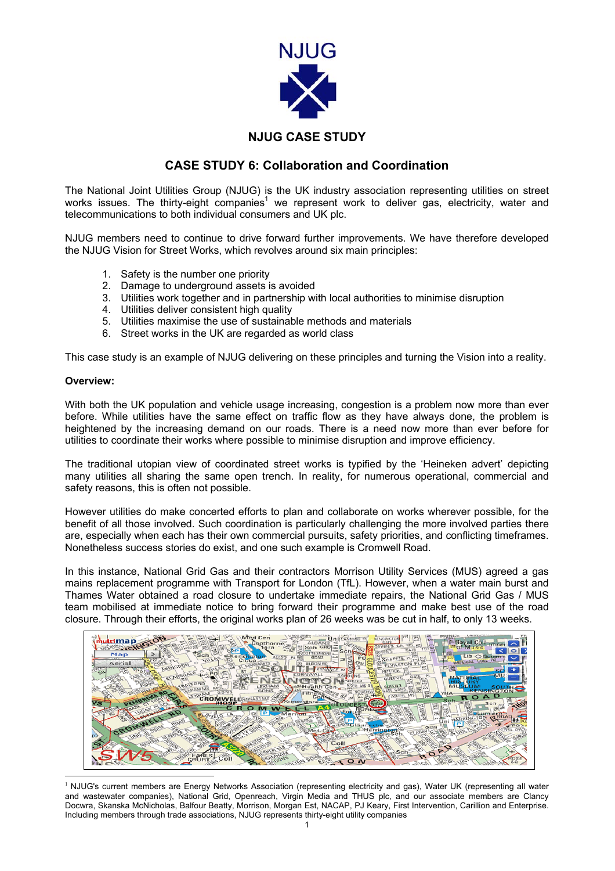

## **NJUG CASE STUDY**

## **CASE STUDY 6: Collaboration and Coordination**

The National Joint Utilities Group (NJUG) is the UK industry association representing utilities on street works issues. The thirty-eight companies<sup>1</sup> we represent work to deliver gas, electricity, water and telecommunications to both individual consumers and UK plc.

NJUG members need to continue to drive forward further improvements. We have therefore developed the NJUG Vision for Street Works, which revolves around six main principles:

- 1. Safety is the number one priority
- 2. Damage to underground assets is avoided
- 3. Utilities work together and in partnership with local authorities to minimise disruption
- 4. Utilities deliver consistent high quality
- 5. Utilities maximise the use of sustainable methods and materials
- 6. Street works in the UK are regarded as world class

This case study is an example of NJUG delivering on these principles and turning the Vision into a reality.

#### **Overview:**

With both the UK population and vehicle usage increasing, congestion is a problem now more than ever before. While utilities have the same effect on traffic flow as they have always done, the problem is heightened by the increasing demand on our roads. There is a need now more than ever before for utilities to coordinate their works where possible to minimise disruption and improve efficiency.

The traditional utopian view of coordinated street works is typified by the 'Heineken advert' depicting many utilities all sharing the same open trench. In reality, for numerous operational, commercial and safety reasons, this is often not possible.

However utilities do make concerted efforts to plan and collaborate on works wherever possible, for the benefit of all those involved. Such coordination is particularly challenging the more involved parties there are, especially when each has their own commercial pursuits, safety priorities, and conflicting timeframes. Nonetheless success stories do exist, and one such example is Cromwell Road.

In this instance, National Grid Gas and their contractors Morrison Utility Services (MUS) agreed a gas mains replacement programme with Transport for London (TfL). However, when a water main burst and Thames Water obtained a road closure to undertake immediate repairs, the National Grid Gas / MUS team mobilised at immediate notice to bring forward their programme and make best use of the road closure. Through their efforts, the original works plan of 26 weeks was be cut in half, to only 13 weeks.



<span id="page-0-0"></span> $\overline{a}$ <sup>1</sup> NJUG's current members are Energy Networks Association (representing electricity and gas), Water UK (representing all water and wastewater companies), National Grid, Openreach, Virgin Media and THUS plc, and our associate members are Clancy Docwra, Skanska McNicholas, Balfour Beatty, Morrison, Morgan Est, NACAP, PJ Keary, First Intervention, Carillion and Enterprise. Including members through trade associations, NJUG represents thirty-eight utility companies